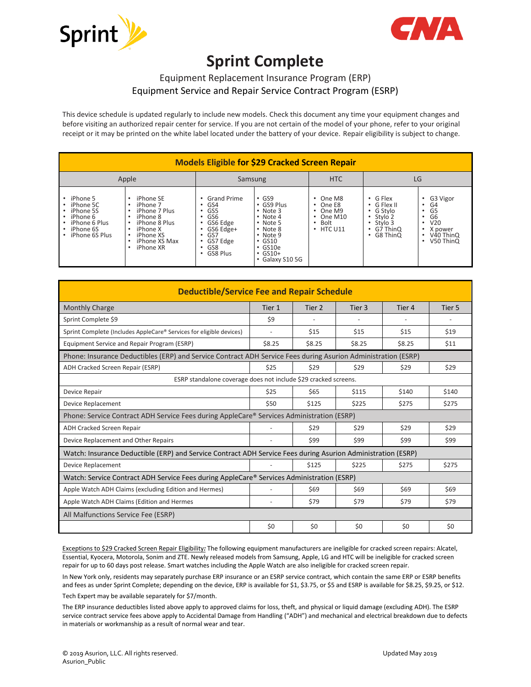



## **Sprint Complete**

## Equipment Replacement Insurance Program (ERP) Equipment Service and Repair Service Contract Program (ESRP)

This device schedule is updated regularly to include new models. Check this document any time your equipment changes and before visiting an authorized repair center for service. If you are not certain of the model of your phone, refer to your original receipt or it may be printed on the white label located under the battery of your device. Repair eligibility is subject to change.

| <b>Models Eligible for \$29 Cracked Screen Repair</b>                                                                                                                        |                                                                                                                                                                   |                                                                                                                    |                                                                                                                                                                                          |                                                                                                       |                                                                                                                    |                                                                                    |
|------------------------------------------------------------------------------------------------------------------------------------------------------------------------------|-------------------------------------------------------------------------------------------------------------------------------------------------------------------|--------------------------------------------------------------------------------------------------------------------|------------------------------------------------------------------------------------------------------------------------------------------------------------------------------------------|-------------------------------------------------------------------------------------------------------|--------------------------------------------------------------------------------------------------------------------|------------------------------------------------------------------------------------|
| Apple                                                                                                                                                                        |                                                                                                                                                                   | Samsung                                                                                                            |                                                                                                                                                                                          | <b>HTC</b>                                                                                            | LG                                                                                                                 |                                                                                    |
| iPhone 5<br>iPhone 5C<br>$\bullet$<br>iPhone 5S<br>$\bullet$<br>iPhone 6<br>$\bullet$<br>iPhone 6 Plus<br>$\bullet$<br>iPhone 6S<br>$\bullet$<br>iPhone 6S Plus<br>$\bullet$ | iPhone SE<br>iPhone 7<br>iPhone 7 Plus<br>iPhone 8<br>iPhone 8 Plus<br>iPhone X<br>$\bullet$<br>iPhone XS<br>$\bullet$<br>iPhone XS Max<br>$\bullet$<br>iPhone XR | <b>Grand Prime</b><br>GS4<br>GS5<br>GS <sub>6</sub><br>GS6 Edge<br>GS6 Edge+<br>GS7<br>GS7 Edge<br>GS8<br>GS8 Plus | $\cdot$ GS9<br>• GS9 Plus<br>$\cdot$ Note 3<br>$\cdot$ Note 4<br>$\cdot$ Note 5<br>$\cdot$ Note 8<br>$\cdot$ Note 9<br>$\cdot$ GS10<br>$\cdot$ GS10e<br>$\cdot$ GS10+<br>• Galaxy S10 5G | $\cdot$ One M8<br>$\cdot$ One E8<br>$\cdot$ One M9<br>$\cdot$ One M10<br>Bolt<br>٠<br>$\cdot$ HTC U11 | $\cdot$ G Flex<br>$\cdot$ G Flex II<br>• G Stylo<br>• Stylo 2<br>$\cdot$ Stylo 3<br>$\cdot$ G7 ThinQ<br>• G8 ThinQ | G3 Vigor<br>G4<br>G5<br>G6<br>V <sub>20</sub><br>X power<br>V40 ThinQ<br>V50 ThinQ |

| <b>Deductible/Service Fee and Repair Schedule</b>                                                             |                          |        |        |        |        |  |
|---------------------------------------------------------------------------------------------------------------|--------------------------|--------|--------|--------|--------|--|
| <b>Monthly Charge</b>                                                                                         | Tier 1                   | Tier 2 | Tier 3 | Tier 4 | Tier 5 |  |
| Sprint Complete \$9                                                                                           | \$9                      |        |        |        |        |  |
| Sprint Complete (Includes AppleCare® Services for eligible devices)                                           | $\overline{\phantom{a}}$ | \$15   | \$15   | \$15   | \$19   |  |
| Equipment Service and Repair Program (ESRP)                                                                   | \$8.25                   | \$8.25 | \$8.25 | \$8.25 | \$11   |  |
| Phone: Insurance Deductibles (ERP) and Service Contract ADH Service Fees during Asurion Administration (ESRP) |                          |        |        |        |        |  |
| ADH Cracked Screen Repair (ESRP)                                                                              | \$25                     | \$29   | \$29   | \$29   | \$29   |  |
| ESRP standalone coverage does not include \$29 cracked screens.                                               |                          |        |        |        |        |  |
| Device Repair                                                                                                 | \$25                     | \$65   | \$115  | \$140  | \$140  |  |
| <b>Device Replacement</b>                                                                                     | \$50                     | \$125  | \$225  | \$275  | \$275  |  |
| Phone: Service Contract ADH Service Fees during AppleCare® Services Administration (ESRP)                     |                          |        |        |        |        |  |
| ADH Cracked Screen Repair                                                                                     |                          | \$29   | \$29   | \$29   | \$29   |  |
| Device Replacement and Other Repairs                                                                          |                          | \$99   | \$99   | \$99   | \$99   |  |
| Watch: Insurance Deductible (ERP) and Service Contract ADH Service Fees during Asurion Administration (ESRP)  |                          |        |        |        |        |  |
| Device Replacement                                                                                            |                          | \$125  | \$225  | \$275  | \$275  |  |
| Watch: Service Contract ADH Service Fees during AppleCare® Services Administration (ESRP)                     |                          |        |        |        |        |  |
| Apple Watch ADH Claims (excluding Edition and Hermes)                                                         |                          | \$69   | \$69   | \$69   | \$69   |  |
| Apple Watch ADH Claims (Edition and Hermes                                                                    | ÷                        | \$79   | \$79   | \$79   | \$79   |  |
| All Malfunctions Service Fee (ESRP)                                                                           |                          |        |        |        |        |  |
|                                                                                                               | \$0                      | \$0    | \$0    | \$0    | \$0    |  |

Exceptions to \$29 Cracked Screen Repair Eligibility*:* The following equipment manufacturers are ineligible for cracked screen repairs: Alcatel, Essential, Kyocera, Motorola, Sonim and ZTE. Newly released models from Samsung, Apple, LG and HTC will be ineligible for cracked screen repair for up to 60 days post release. Smart watches including the Apple Watch are also ineligible for cracked screen repair.

In New York only, residents may separately purchase ERP insurance or an ESRP service contract, which contain the same ERP or ESRP benefits and fees as under Sprint Complete; depending on the device, ERP is available for \$1, \$3.75, or \$5 and ESRP is available for \$8.25, \$9.25, or \$12. Tech Expert may be available separately for \$7/month.

The ERP insurance deductibles listed above apply to approved claims for loss, theft, and physical or liquid damage (excluding ADH). The ESRP service contract service fees above apply to Accidental Damage from Handling ("ADH") and mechanical and electrical breakdown due to defects in materials or workmanship as a result of normal wear and tear.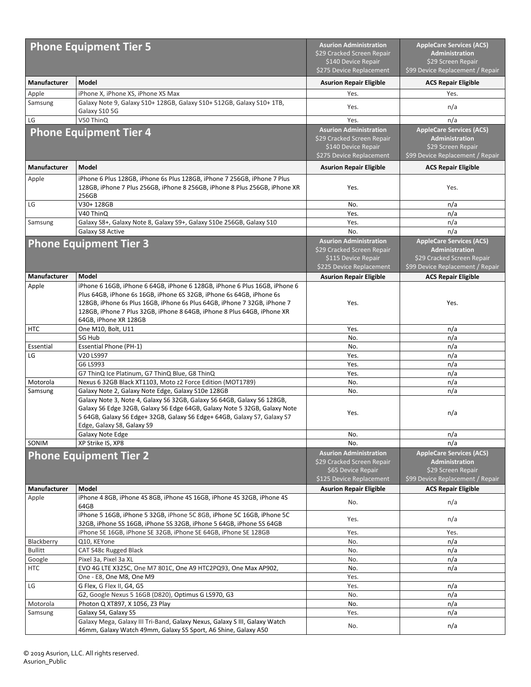| <b>Phone Equipment Tier 5</b> |                                                                                                                                                                                                                                                                                                                                    | <b>Asurion Administration</b><br>\$29 Cracked Screen Repair<br>\$140 Device Repair                             | <b>AppleCare Services (ACS)</b><br>Administration<br>\$29 Screen Repair                                     |  |
|-------------------------------|------------------------------------------------------------------------------------------------------------------------------------------------------------------------------------------------------------------------------------------------------------------------------------------------------------------------------------|----------------------------------------------------------------------------------------------------------------|-------------------------------------------------------------------------------------------------------------|--|
|                               |                                                                                                                                                                                                                                                                                                                                    | \$275 Device Replacement                                                                                       | \$99 Device Replacement / Repair                                                                            |  |
| Manufacturer                  | Model                                                                                                                                                                                                                                                                                                                              | <b>Asurion Repair Eligible</b>                                                                                 | <b>ACS Repair Eligible</b>                                                                                  |  |
| Apple                         | iPhone X, iPhone XS, iPhone XS Max                                                                                                                                                                                                                                                                                                 | Yes.                                                                                                           | Yes.                                                                                                        |  |
| Samsung                       | Galaxy Note 9, Galaxy S10+ 128GB, Galaxy S10+ 512GB, Galaxy S10+ 1TB,<br>Galaxy S10 5G                                                                                                                                                                                                                                             | Yes.                                                                                                           | n/a                                                                                                         |  |
| LG                            | V50 ThinQ                                                                                                                                                                                                                                                                                                                          | Yes.                                                                                                           | n/a                                                                                                         |  |
|                               | <b>Phone Equipment Tier 4</b>                                                                                                                                                                                                                                                                                                      | <b>Asurion Administration</b><br>\$29 Cracked Screen Repair<br>\$140 Device Repair<br>\$275 Device Replacement | <b>AppleCare Services (ACS)</b><br>Administration<br>\$29 Screen Repair<br>\$99 Device Replacement / Repair |  |
| Manufacturer                  | Model                                                                                                                                                                                                                                                                                                                              | <b>Asurion Repair Eligible</b>                                                                                 | <b>ACS Repair Eligible</b>                                                                                  |  |
| Apple                         | iPhone 6 Plus 128GB, iPhone 6s Plus 128GB, iPhone 7 256GB, iPhone 7 Plus<br>128GB, iPhone 7 Plus 256GB, iPhone 8 256GB, iPhone 8 Plus 256GB, iPhone XR<br>256GB                                                                                                                                                                    | Yes.<br>Yes.                                                                                                   |                                                                                                             |  |
| LG                            | V30+ 128GB                                                                                                                                                                                                                                                                                                                         | No.                                                                                                            | n/a                                                                                                         |  |
|                               | V40 ThinQ                                                                                                                                                                                                                                                                                                                          | Yes.                                                                                                           | n/a                                                                                                         |  |
| Samsung                       | Galaxy S8+, Galaxy Note 8, Galaxy S9+, Galaxy S10e 256GB, Galaxy S10                                                                                                                                                                                                                                                               | Yes.                                                                                                           | n/a                                                                                                         |  |
|                               | Galaxy S8 Active                                                                                                                                                                                                                                                                                                                   | No.                                                                                                            | n/a                                                                                                         |  |
| <b>Phone Equipment Tier 3</b> |                                                                                                                                                                                                                                                                                                                                    | <b>Asurion Administration</b><br>\$29 Cracked Screen Repair<br>\$115 Device Repair                             | <b>AppleCare Services (ACS)</b><br><b>Administration</b><br>\$29 Cracked Screen Repair                      |  |
|                               |                                                                                                                                                                                                                                                                                                                                    | \$225 Device Replacement                                                                                       | \$99 Device Replacement / Repair                                                                            |  |
| Manufacturer                  | Model                                                                                                                                                                                                                                                                                                                              | <b>Asurion Repair Eligible</b>                                                                                 | <b>ACS Repair Eligible</b>                                                                                  |  |
| Apple                         | iPhone 6 16GB, iPhone 6 64GB, iPhone 6 128GB, iPhone 6 Plus 16GB, iPhone 6<br>Plus 64GB, iPhone 6s 16GB, iPhone 6S 32GB, iPhone 6s 64GB, iPhone 6s<br>128GB, iPhone 6s Plus 16GB, iPhone 6s Plus 64GB, iPhone 7 32GB, iPhone 7<br>128GB, iPhone 7 Plus 32GB, iPhone 8 64GB, iPhone 8 Plus 64GB, iPhone XR<br>64GB, iPhone XR 128GB | Yes.                                                                                                           | Yes.                                                                                                        |  |
| HTC                           | One M10, Bolt, U11                                                                                                                                                                                                                                                                                                                 | Yes.                                                                                                           | n/a                                                                                                         |  |
|                               | 5G Hub                                                                                                                                                                                                                                                                                                                             | No.                                                                                                            | n/a                                                                                                         |  |
| Essential                     | <b>Essential Phone (PH-1)</b>                                                                                                                                                                                                                                                                                                      | No.                                                                                                            | n/a                                                                                                         |  |
| LG                            | V20 LS997                                                                                                                                                                                                                                                                                                                          | Yes.                                                                                                           | n/a                                                                                                         |  |
|                               | G6 LS993                                                                                                                                                                                                                                                                                                                           | Yes.                                                                                                           | n/a                                                                                                         |  |
|                               | G7 ThinQ Ice Platinum, G7 ThinQ Blue, G8 ThinQ                                                                                                                                                                                                                                                                                     | Yes.                                                                                                           | n/a                                                                                                         |  |
| Motorola                      | Nexus 6 32GB Black XT1103, Moto z2 Force Edition (MOT1789)                                                                                                                                                                                                                                                                         | No.                                                                                                            | n/a                                                                                                         |  |
| Samsung                       | Galaxy Note 2, Galaxy Note Edge, Galaxy S10e 128GB                                                                                                                                                                                                                                                                                 | No.                                                                                                            | n/a                                                                                                         |  |
|                               | Galaxy Note 3, Note 4, Galaxy S6 32GB, Galaxy S6 64GB, Galaxy S6 128GB,<br>Galaxy S6 Edge 32GB, Galaxy S6 Edge 64GB, Galaxy Note 5 32GB, Galaxy Note<br>5 64GB, Galaxy S6 Edge+ 32GB, Galaxy S6 Edge+ 64GB, Galaxy S7, Galaxy S7<br>Edge, Galaxy S8, Galaxy S9                                                                     | Yes.                                                                                                           | n/a                                                                                                         |  |
|                               | Galaxy Note Edge                                                                                                                                                                                                                                                                                                                   | No.                                                                                                            | n/a                                                                                                         |  |
| SONIM                         | XP Strike IS, XP8                                                                                                                                                                                                                                                                                                                  | No.                                                                                                            | n/a                                                                                                         |  |
| <b>Phone Equipment Tier 2</b> |                                                                                                                                                                                                                                                                                                                                    | <b>Asurion Administration</b><br>\$29 Cracked Screen Repair<br>\$65 Device Repair                              | <b>AppleCare Services (ACS)</b><br><b>Administration</b><br>\$29 Screen Repair                              |  |
| Manufacturer                  | Model                                                                                                                                                                                                                                                                                                                              | \$125 Device Replacement<br><b>Asurion Repair Eligible</b>                                                     | \$99 Device Replacement / Repair<br><b>ACS Repair Eligible</b>                                              |  |
| Apple                         | iPhone 4 8GB, iPhone 4S 8GB, iPhone 4S 16GB, iPhone 4S 32GB, iPhone 4S                                                                                                                                                                                                                                                             |                                                                                                                |                                                                                                             |  |
|                               | 64GB<br>iPhone 5 16GB, iPhone 5 32GB, iPhone 5C 8GB, iPhone 5C 16GB, iPhone 5C                                                                                                                                                                                                                                                     | No.                                                                                                            | n/a                                                                                                         |  |
|                               | 32GB, iPhone 5S 16GB, iPhone 5S 32GB, iPhone 5 64GB, iPhone 5S 64GB<br>iPhone SE 16GB, iPhone SE 32GB, iPhone SE 64GB, iPhone SE 128GB                                                                                                                                                                                             | Yes.<br>Yes.                                                                                                   | n/a<br>Yes.                                                                                                 |  |
| Blackberry                    | Q10, KEYone                                                                                                                                                                                                                                                                                                                        | No.                                                                                                            | n/a                                                                                                         |  |
| <b>Bullitt</b>                | CAT S48c Rugged Black                                                                                                                                                                                                                                                                                                              | No.                                                                                                            | n/a                                                                                                         |  |
| Google                        | Pixel 3a, Pixel 3a XL                                                                                                                                                                                                                                                                                                              | No.                                                                                                            | n/a                                                                                                         |  |
| <b>HTC</b>                    | EVO 4G LTE X325C, One M7 801C, One A9 HTC2PQ93, One Max AP902,                                                                                                                                                                                                                                                                     | No.                                                                                                            | n/a                                                                                                         |  |
|                               | One - E8, One M8, One M9                                                                                                                                                                                                                                                                                                           | Yes.                                                                                                           |                                                                                                             |  |
| LG                            | G Flex, G Flex II, G4, G5                                                                                                                                                                                                                                                                                                          | Yes.                                                                                                           | n/a                                                                                                         |  |
|                               | G2, Google Nexus 5 16GB (D820), Optimus G LS970, G3                                                                                                                                                                                                                                                                                | No.                                                                                                            | n/a                                                                                                         |  |
| Motorola                      | Photon Q XT897, X 1056, Z3 Play                                                                                                                                                                                                                                                                                                    | No.                                                                                                            | n/a                                                                                                         |  |
| Samsung                       | Galaxy S4, Galaxy S5                                                                                                                                                                                                                                                                                                               | Yes.                                                                                                           | n/a                                                                                                         |  |
|                               | Galaxy Mega, Galaxy III Tri-Band, Galaxy Nexus, Galaxy S III, Galaxy Watch<br>46mm, Galaxy Watch 49mm, Galaxy S5 Sport, A6 Shine, Galaxy A50                                                                                                                                                                                       | No.                                                                                                            | n/a                                                                                                         |  |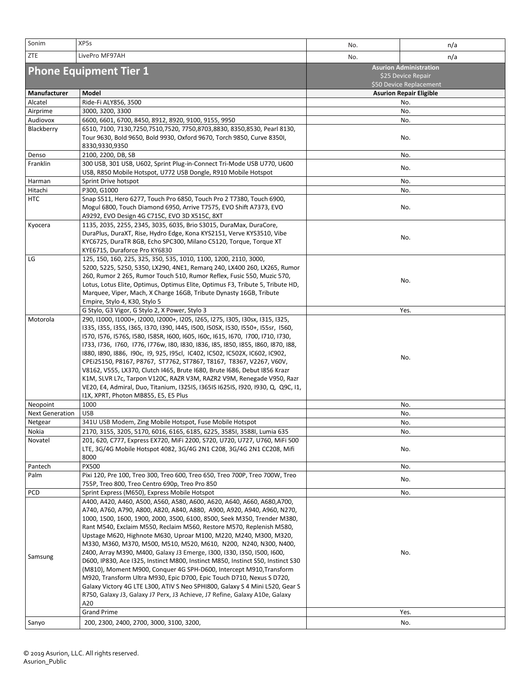| Sonim                         | XP5s                                                                                                                                                                                                                                                                                                                                                                                                                                                                                                                                                                                                                                                                                                                                                                                                                                                                                                                                | No.                                                                            | n/a                            |  |  |
|-------------------------------|-------------------------------------------------------------------------------------------------------------------------------------------------------------------------------------------------------------------------------------------------------------------------------------------------------------------------------------------------------------------------------------------------------------------------------------------------------------------------------------------------------------------------------------------------------------------------------------------------------------------------------------------------------------------------------------------------------------------------------------------------------------------------------------------------------------------------------------------------------------------------------------------------------------------------------------|--------------------------------------------------------------------------------|--------------------------------|--|--|
| ZTE                           | LivePro MF97AH                                                                                                                                                                                                                                                                                                                                                                                                                                                                                                                                                                                                                                                                                                                                                                                                                                                                                                                      | No.                                                                            | n/a                            |  |  |
| <b>Phone Equipment Tier 1</b> |                                                                                                                                                                                                                                                                                                                                                                                                                                                                                                                                                                                                                                                                                                                                                                                                                                                                                                                                     | <b>Asurion Administration</b><br>\$25 Device Repair<br>\$50 Device Replacement |                                |  |  |
| Manufacturer                  | Model                                                                                                                                                                                                                                                                                                                                                                                                                                                                                                                                                                                                                                                                                                                                                                                                                                                                                                                               |                                                                                | <b>Asurion Repair Eligible</b> |  |  |
| Alcatel                       | Ride-Fi ALY856, 3500                                                                                                                                                                                                                                                                                                                                                                                                                                                                                                                                                                                                                                                                                                                                                                                                                                                                                                                |                                                                                | No.                            |  |  |
| Airprime                      | 3000, 3200, 3300                                                                                                                                                                                                                                                                                                                                                                                                                                                                                                                                                                                                                                                                                                                                                                                                                                                                                                                    |                                                                                | No.                            |  |  |
| Audiovox                      | 6600, 6601, 6700, 8450, 8912, 8920, 9100, 9155, 9950                                                                                                                                                                                                                                                                                                                                                                                                                                                                                                                                                                                                                                                                                                                                                                                                                                                                                |                                                                                | No.                            |  |  |
| Blackberry                    | 6510, 7100, 7130,7250,7510,7520, 7750,8703,8830, 8350,8530, Pearl 8130,<br>Tour 9630, Bold 9650, Bold 9930, Oxford 9670, Torch 9850, Curve 8350I,<br>8330,9330,9350                                                                                                                                                                                                                                                                                                                                                                                                                                                                                                                                                                                                                                                                                                                                                                 |                                                                                | No.                            |  |  |
| Denso                         | 2100, 2200, DB, SB                                                                                                                                                                                                                                                                                                                                                                                                                                                                                                                                                                                                                                                                                                                                                                                                                                                                                                                  |                                                                                | No.                            |  |  |
| Franklin                      | 300 USB, 301 USB, U602, Sprint Plug-in-Connect Tri-Mode USB U770, U600<br>USB, R850 Mobile Hotspot, U772 USB Dongle, R910 Mobile Hotspot                                                                                                                                                                                                                                                                                                                                                                                                                                                                                                                                                                                                                                                                                                                                                                                            |                                                                                | No.                            |  |  |
| Harman                        | Sprint Drive hotspot                                                                                                                                                                                                                                                                                                                                                                                                                                                                                                                                                                                                                                                                                                                                                                                                                                                                                                                |                                                                                | No.                            |  |  |
| Hitachi                       | P300, G1000                                                                                                                                                                                                                                                                                                                                                                                                                                                                                                                                                                                                                                                                                                                                                                                                                                                                                                                         |                                                                                | No.                            |  |  |
| <b>HTC</b>                    | Snap S511, Hero 6277, Touch Pro 6850, Touch Pro 2 T7380, Touch 6900,<br>Mogul 6800, Touch Diamond 6950, Arrive T7575, EVO Shift A7373, EVO<br>A9292, EVO Design 4G C715C, EVO 3D X515C, 8XT                                                                                                                                                                                                                                                                                                                                                                                                                                                                                                                                                                                                                                                                                                                                         |                                                                                | No.                            |  |  |
| Kyocera                       | 1135, 2035, 2255, 2345, 3035, 6035, Brio S3015, DuraMax, DuraCore,<br>DuraPlus, DuraXT, Rise, Hydro Edge, Kona KYS2151, Verve KYS3510, Vibe<br>KYC6725, DuraTR 8GB, Echo SPC300, Milano C5120, Torque, Torque XT<br>KYE6715, Duraforce Pro KY6830                                                                                                                                                                                                                                                                                                                                                                                                                                                                                                                                                                                                                                                                                   | No.                                                                            |                                |  |  |
| LG                            | 125, 150, 160, 225, 325, 350, 535, 1010, 1100, 1200, 2110, 3000,<br>5200, 5225, 5250, 5350, LX290, 4NE1, Remarq 240, LX400 260, LX265, Rumor<br>260, Rumor 2 265, Rumor Touch 510, Rumor Reflex, Fusic 550, Muzic 570,<br>Lotus, Lotus Elite, Optimus, Optimus Elite, Optimus F3, Tribute 5, Tribute HD,<br>Marquee, Viper, Mach, X Charge 16GB, Tribute Dynasty 16GB, Tribute<br>Empire, Stylo 4, K30, Stylo 5                                                                                                                                                                                                                                                                                                                                                                                                                                                                                                                     |                                                                                | No.                            |  |  |
|                               | G Stylo, G3 Vigor, G Stylo 2, X Power, Stylo 3                                                                                                                                                                                                                                                                                                                                                                                                                                                                                                                                                                                                                                                                                                                                                                                                                                                                                      | Yes.                                                                           |                                |  |  |
| Motorola                      | 290, I1000, I1000+, I2000, I2000+, I205, I265, I275, I305, I30sx, I315, I325,<br>1335, 1355, 135S, 1365, 1370, 1390, 1445, 1500, 150SX, 1530, 1550+, 155sr, 1560,<br>I570, I576, I576S, I580, I58SR, I600, I605, I60c, I615, I670, I700, I710, I730,<br>1733, 1736, 1760, 1776, 1776w, 180, 1830, 1836, 185, 1850, 1855, 1860, 1870, 188,<br>1880, 1890, 1886, 190c, 19, 925, 195cl, 1C402, 1C502, IC502X, IC602, IC902,<br>CPEi25150, P8167, P8767, ST7762, ST7867, T8167, T8367, V2267, V60V,<br>V8162, V555, LX370, Clutch I465, Brute I680, Brute I686, Debut I856 Krazr<br>K1M, SLVR L7c, Tarpon V120C, RAZR V3M, RAZR2 V9M, Renegade V950, Razr<br>VE20, E4, Admiral, Duo, Titanium, I325IS, I365IS I625IS, I920, I930, Q, Q9C, I1,<br>I1X, XPRT, Photon MB855, E5, E5 Plus                                                                                                                                                   | No.                                                                            |                                |  |  |
| Neopoint                      | 1000                                                                                                                                                                                                                                                                                                                                                                                                                                                                                                                                                                                                                                                                                                                                                                                                                                                                                                                                |                                                                                | No.                            |  |  |
| <b>Next Generation</b>        | <b>USB</b>                                                                                                                                                                                                                                                                                                                                                                                                                                                                                                                                                                                                                                                                                                                                                                                                                                                                                                                          | No.                                                                            |                                |  |  |
| Netgear                       | 341U USB Modem, Zing Mobile Hotspot, Fuse Mobile Hotspot                                                                                                                                                                                                                                                                                                                                                                                                                                                                                                                                                                                                                                                                                                                                                                                                                                                                            |                                                                                | No.                            |  |  |
| Nokia                         | 2170, 3155, 3205, 5170, 6016, 6165, 6185, 6225, 3585I, 3588I, Lumia 635                                                                                                                                                                                                                                                                                                                                                                                                                                                                                                                                                                                                                                                                                                                                                                                                                                                             | No.                                                                            |                                |  |  |
| Novatel                       | 201, 620, C777, Express EX720, MiFi 2200, S720, U720, U727, U760, MiFi 500<br>LTE, 3G/4G Mobile Hotspot 4082, 3G/4G 2N1 C208, 3G/4G 2N1 CC208, Mifi<br>8000                                                                                                                                                                                                                                                                                                                                                                                                                                                                                                                                                                                                                                                                                                                                                                         |                                                                                | No.                            |  |  |
| Pantech                       | PX500                                                                                                                                                                                                                                                                                                                                                                                                                                                                                                                                                                                                                                                                                                                                                                                                                                                                                                                               | No.                                                                            |                                |  |  |
| Palm                          | Pixi 120, Pre 100, Treo 300, Treo 600, Treo 650, Treo 700P, Treo 700W, Treo<br>755P, Treo 800, Treo Centro 690p, Treo Pro 850                                                                                                                                                                                                                                                                                                                                                                                                                                                                                                                                                                                                                                                                                                                                                                                                       | No.                                                                            |                                |  |  |
| <b>PCD</b>                    | Sprint Express (M650), Express Mobile Hotspot                                                                                                                                                                                                                                                                                                                                                                                                                                                                                                                                                                                                                                                                                                                                                                                                                                                                                       |                                                                                | No.                            |  |  |
| Samsung                       | A400, A420, A460, A500, A560, A580, A600, A620, A640, A660, A680,A700,<br>A740, A760, A790, A800, A820, A840, A880, A900, A920, A940, A960, N270,<br>1000, 1500, 1600, 1900, 2000, 3500, 6100, 8500, Seek M350, Trender M380,<br>Rant M540, Exclaim M550, Reclaim M560, Restore M570, Replenish M580,<br>Upstage M620, Highnote M630, Uproar M100, M220, M240, M300, M320,<br>M330, M360, M370, M500, M510, M520, M610, N200, N240, N300, N400,<br>Z400, Array M390, M400, Galaxy J3 Emerge, I300, I330, I350, I500, I600,<br>D600, IP830, Ace I325, Instinct M800, Instinct M850, Instinct S50, Instinct S30<br>(M810), Moment M900, Conquer 4G SPH-D600, Intercept M910, Transform<br>M920, Transform Ultra M930, Epic D700, Epic Touch D710, Nexus S D720,<br>Galaxy Victory 4G LTE L300, ATIV S Neo SPHI800, Galaxy S 4 Mini L520, Gear S<br>R750, Galaxy J3, Galaxy J7 Perx, J3 Achieve, J7 Refine, Galaxy A10e, Galaxy<br>A20 |                                                                                | No.                            |  |  |
|                               | <b>Grand Prime</b>                                                                                                                                                                                                                                                                                                                                                                                                                                                                                                                                                                                                                                                                                                                                                                                                                                                                                                                  |                                                                                | Yes.                           |  |  |
| Sanyo                         | 200, 2300, 2400, 2700, 3000, 3100, 3200,                                                                                                                                                                                                                                                                                                                                                                                                                                                                                                                                                                                                                                                                                                                                                                                                                                                                                            |                                                                                | No.                            |  |  |